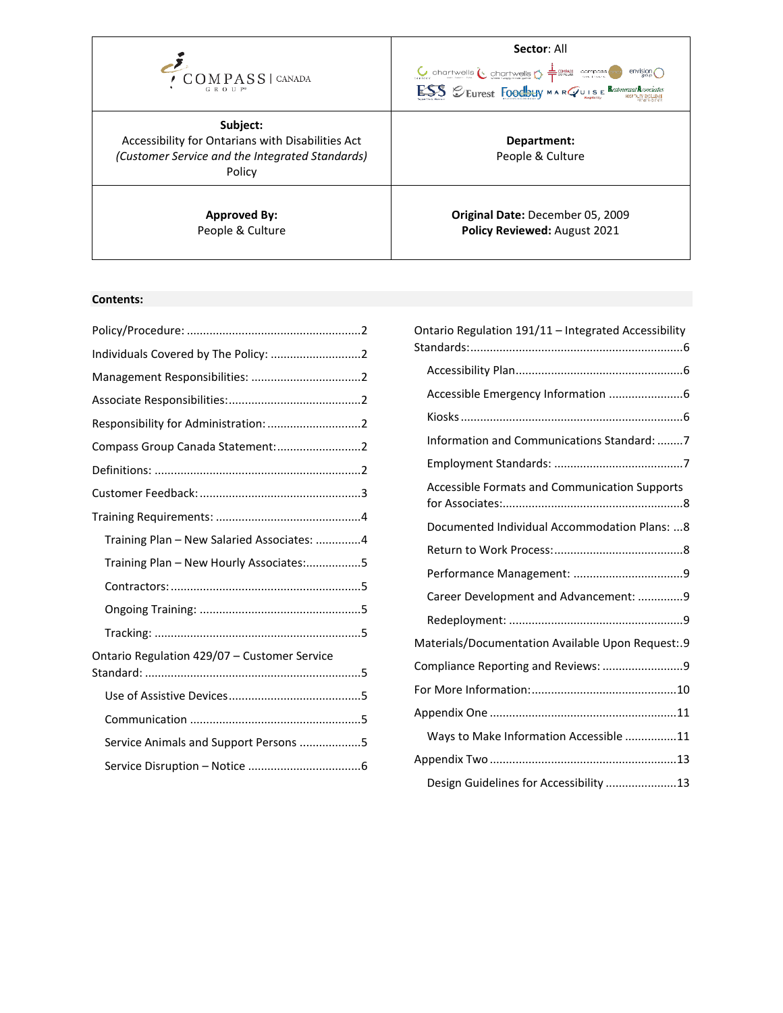

**Subject:** Accessibility for Ontarians with Disabilities Act *(Customer Service and the Integrated Standards)* Policy

> **Approved By:** People & Culture

# **Sector**: All

 $\underbrace{\bigcup_{\text{inter}} \text{Chartwells}}_{\text{inter}} \underbrace{\bigwedge_{\text{inter}} \text{Chartwells}}_{\text{inter}} \underbrace{\bigwedge_{\text{inter}} \frac{1}{T} \underbrace{\text{center}}_{\text{inter}} \underbrace{\text{corresponds}}_{\text{inter}} \underbrace{\bigwedge}_{\text{inter}} \text{erivising} \bigcap$ ESS Seurest Foodbuy MARQUISE Restrument Associates

> **Department:** People & Culture

**Original Date:** December 05, 2009 **Policy Reviewed:** August 2021

# **Contents:**

| Compass Group Canada Statement: 2            |  |
|----------------------------------------------|--|
|                                              |  |
|                                              |  |
|                                              |  |
| Training Plan - New Salaried Associates: 4   |  |
| Training Plan - New Hourly Associates:5      |  |
|                                              |  |
|                                              |  |
|                                              |  |
| Ontario Regulation 429/07 - Customer Service |  |
|                                              |  |
|                                              |  |
| Service Animals and Support Persons 5        |  |
|                                              |  |
|                                              |  |

| Ontario Regulation 191/11 - Integrated Accessibility |  |
|------------------------------------------------------|--|
|                                                      |  |
|                                                      |  |
|                                                      |  |
| Information and Communications Standard: 7           |  |
|                                                      |  |
| Accessible Formats and Communication Supports        |  |
| Documented Individual Accommodation Plans:  8        |  |
|                                                      |  |
|                                                      |  |
| Career Development and Advancement: 9                |  |
|                                                      |  |
| Materials/Documentation Available Upon Request:.9    |  |
| Compliance Reporting and Reviews: 9                  |  |
|                                                      |  |
|                                                      |  |
| Ways to Make Information Accessible 11               |  |
|                                                      |  |
| Design Guidelines for Accessibility 13               |  |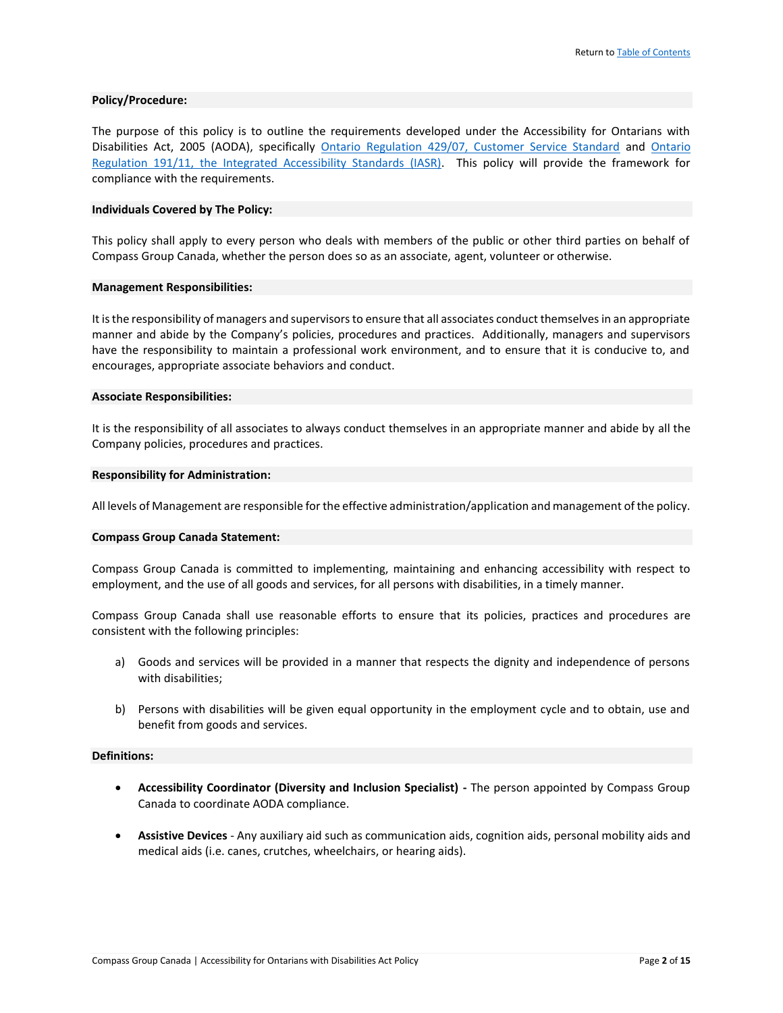#### **Policy/Procedure:**

The purpose of this policy is to outline the requirements developed under the Accessibility for Ontarians with Disabilities Act, 2005 (AODA), specifically [Ontario Regulation 429/07, Customer Service Standard](http://www.e-laws.gov.on.ca/html/source/regs/english/2007/elaws_src_regs_r07429_e.htm) and [Ontario](http://www.e-laws.gov.on.ca/html/regs/english/elaws_regs_110191_e.htm)  [Regulation 191/11, the Integrated Accessibility Standards \(IASR\).](http://www.e-laws.gov.on.ca/html/regs/english/elaws_regs_110191_e.htm) This policy will provide the framework for compliance with the requirements.

#### **Individuals Covered by The Policy:**

This policy shall apply to every person who deals with members of the public or other third parties on behalf of Compass Group Canada, whether the person does so as an associate, agent, volunteer or otherwise.

#### **Management Responsibilities:**

It is the responsibility of managers and supervisors to ensure that all associates conduct themselves in an appropriate manner and abide by the Company's policies, procedures and practices. Additionally, managers and supervisors have the responsibility to maintain a professional work environment, and to ensure that it is conducive to, and encourages, appropriate associate behaviors and conduct.

#### **Associate Responsibilities:**

It is the responsibility of all associates to always conduct themselves in an appropriate manner and abide by all the Company policies, procedures and practices.

#### **Responsibility for Administration:**

All levels of Management are responsible for the effective administration/application and management of the policy.

#### **Compass Group Canada Statement:**

Compass Group Canada is committed to implementing, maintaining and enhancing accessibility with respect to employment, and the use of all goods and services, for all persons with disabilities, in a timely manner.

Compass Group Canada shall use reasonable efforts to ensure that its policies, practices and procedures are consistent with the following principles:

- a) Goods and services will be provided in a manner that respects the dignity and independence of persons with disabilities;
- b) Persons with disabilities will be given equal opportunity in the employment cycle and to obtain, use and benefit from goods and services.

#### **Definitions:**

- **Accessibility Coordinator (Diversity and Inclusion Specialist) -** The person appointed by Compass Group Canada to coordinate AODA compliance.
- **Assistive Devices**  Any auxiliary aid such as communication aids, cognition aids, personal mobility aids and medical aids (i.e. canes, crutches, wheelchairs, or hearing aids).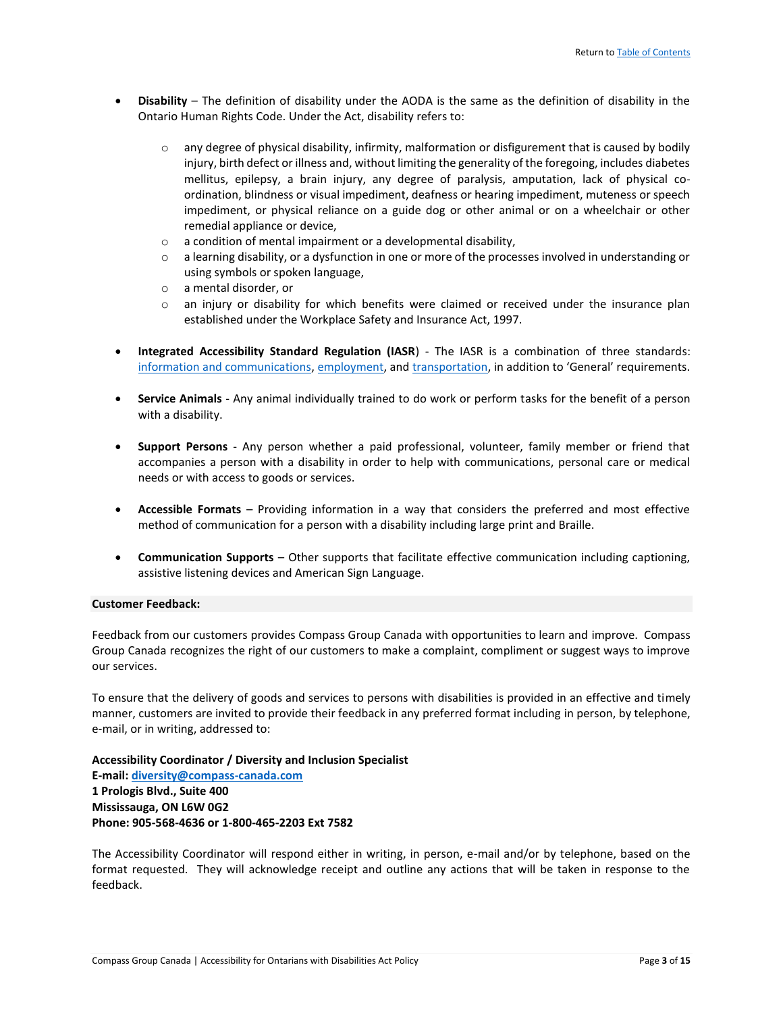- **Disability**  The definition of disability under the AODA is the same as the definition of disability in the Ontario Human Rights Code. Under the Act, disability refers to:
	- o any degree of physical disability, infirmity, malformation or disfigurement that is caused by bodily injury, birth defect or illness and, without limiting the generality of the foregoing, includes diabetes mellitus, epilepsy, a brain injury, any degree of paralysis, amputation, lack of physical coordination, blindness or visual impediment, deafness or hearing impediment, muteness or speech impediment, or physical reliance on a guide dog or other animal or on a wheelchair or other remedial appliance or device,
	- o a condition of mental impairment or a developmental disability,
	- $\circ$  a learning disability, or a dysfunction in one or more of the processes involved in understanding or using symbols or spoken language,
	- o a mental disorder, or
	- $\circ$  an injury or disability for which benefits were claimed or received under the insurance plan established under the Workplace Safety and Insurance Act, 1997.
- **Integrated Accessibility Standard Regulation (IASR**) The IASR is a combination of three standards: [information and communications,](http://www.mcss.gov.on.ca/documents/en/mcss/accessibility/iasr_guidelines/Part2_IASR_2012.pdf) [employment,](http://www.mcss.gov.on.ca/documents/en/mcss/accessibility/iasr_guidelines/Part3_IASR_2012.pdf) an[d transportation](http://www.mcss.gov.on.ca/documents/en/mcss/accessibility/iasr_guidelines/Part4_IASR_2012.pdf), in addition to 'General' requirements.
- **Service Animals**  Any animal individually trained to do work or perform tasks for the benefit of a person with a disability.
- **Support Persons**  Any person whether a paid professional, volunteer, family member or friend that accompanies a person with a disability in order to help with communications, personal care or medical needs or with access to goods or services.
- **Accessible Formats** Providing information in a way that considers the preferred and most effective method of communication for a person with a disability including large print and Braille.
- **Communication Supports** Other supports that facilitate effective communication including captioning, assistive listening devices and American Sign Language.

# **Customer Feedback:**

Feedback from our customers provides Compass Group Canada with opportunities to learn and improve. Compass Group Canada recognizes the right of our customers to make a complaint, compliment or suggest ways to improve our services.

To ensure that the delivery of goods and services to persons with disabilities is provided in an effective and timely manner, customers are invited to provide their feedback in any preferred format including in person, by telephone, e-mail, or in writing, addressed to:

**Accessibility Coordinator / Diversity and Inclusion Specialist E-mail: [diversity@compass-canada.com](mailto:diversity@compass-canada.com) 1 Prologis Blvd., Suite 400 Mississauga, ON L6W 0G2 Phone: 905-568-4636 or 1-800-465-2203 Ext 7582**

The Accessibility Coordinator will respond either in writing, in person, e-mail and/or by telephone, based on the format requested. They will acknowledge receipt and outline any actions that will be taken in response to the feedback.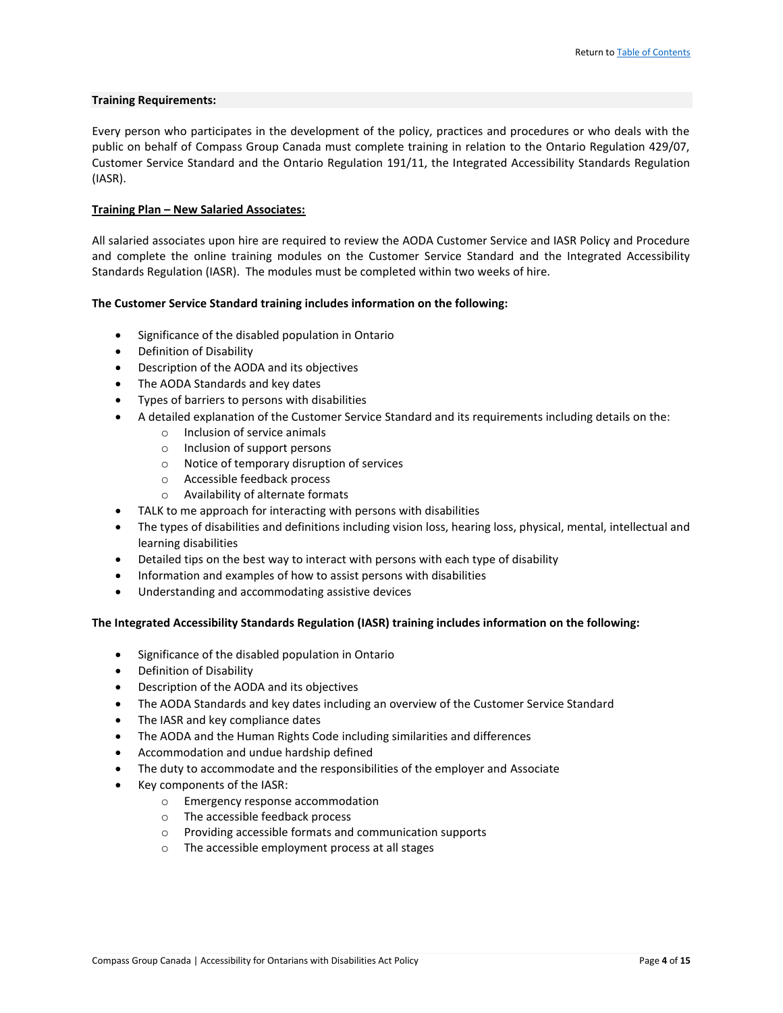# **Training Requirements:**

Every person who participates in the development of the policy, practices and procedures or who deals with the public on behalf of Compass Group Canada must complete training in relation to the Ontario Regulation 429/07, Customer Service Standard and the Ontario Regulation 191/11, the Integrated Accessibility Standards Regulation (IASR).

# **Training Plan – New Salaried Associates:**

All salaried associates upon hire are required to review the AODA Customer Service and IASR Policy and Procedure and complete the online training modules on the Customer Service Standard and the Integrated Accessibility Standards Regulation (IASR). The modules must be completed within two weeks of hire.

# **The Customer Service Standard training includes information on the following:**

- Significance of the disabled population in Ontario
- Definition of Disability
- Description of the AODA and its objectives
- The AODA Standards and key dates
- Types of barriers to persons with disabilities
- A detailed explanation of the Customer Service Standard and its requirements including details on the:
	- o Inclusion of service animals
	- o Inclusion of support persons
	- o Notice of temporary disruption of services
	- o Accessible feedback process
	- o Availability of alternate formats
- TALK to me approach for interacting with persons with disabilities
- The types of disabilities and definitions including vision loss, hearing loss, physical, mental, intellectual and learning disabilities
- Detailed tips on the best way to interact with persons with each type of disability
- Information and examples of how to assist persons with disabilities
- Understanding and accommodating assistive devices

# **The Integrated Accessibility Standards Regulation (IASR) training includes information on the following:**

- Significance of the disabled population in Ontario
- Definition of Disability
- Description of the AODA and its objectives
- The AODA Standards and key dates including an overview of the Customer Service Standard
- The IASR and key compliance dates
- The AODA and the Human Rights Code including similarities and differences
- Accommodation and undue hardship defined
- The duty to accommodate and the responsibilities of the employer and Associate
- Key components of the IASR:
	- o Emergency response accommodation
	- o The accessible feedback process
	- o Providing accessible formats and communication supports
	- o The accessible employment process at all stages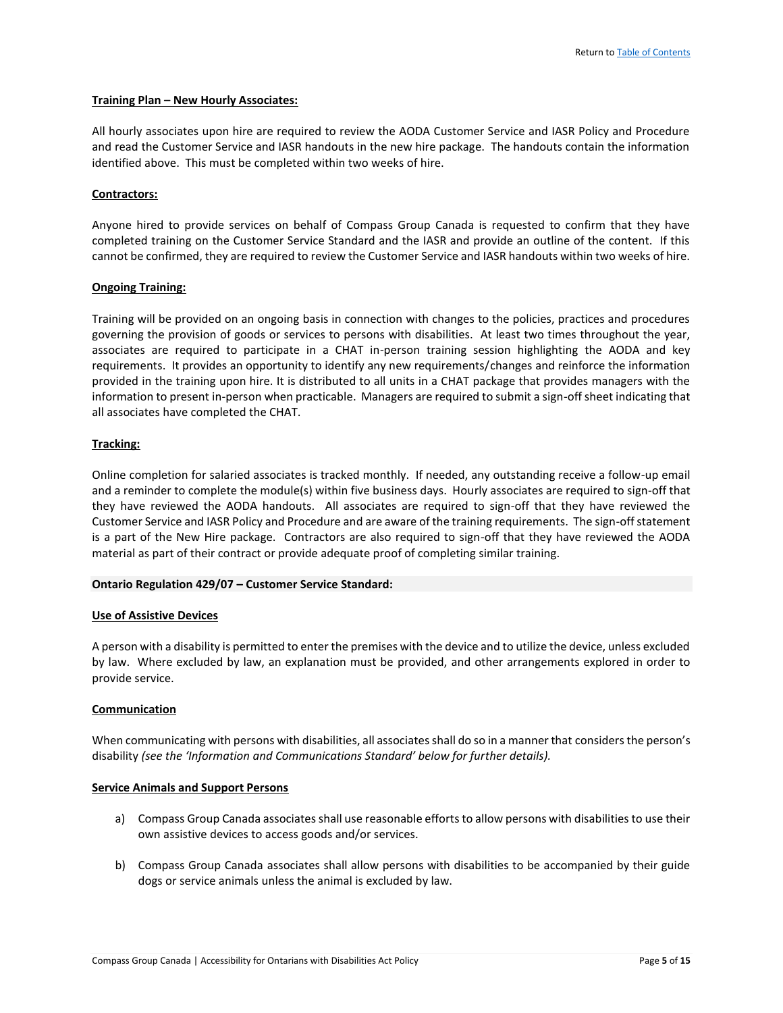#### **Training Plan – New Hourly Associates:**

All hourly associates upon hire are required to review the AODA Customer Service and IASR Policy and Procedure and read the Customer Service and IASR handouts in the new hire package. The handouts contain the information identified above. This must be completed within two weeks of hire.

# **Contractors:**

Anyone hired to provide services on behalf of Compass Group Canada is requested to confirm that they have completed training on the Customer Service Standard and the IASR and provide an outline of the content. If this cannot be confirmed, they are required to review the Customer Service and IASR handouts within two weeks of hire.

# **Ongoing Training:**

Training will be provided on an ongoing basis in connection with changes to the policies, practices and procedures governing the provision of goods or services to persons with disabilities. At least two times throughout the year, associates are required to participate in a CHAT in-person training session highlighting the AODA and key requirements. It provides an opportunity to identify any new requirements/changes and reinforce the information provided in the training upon hire. It is distributed to all units in a CHAT package that provides managers with the information to present in-person when practicable. Managers are required to submit a sign-off sheet indicating that all associates have completed the CHAT.

# **Tracking:**

Online completion for salaried associates is tracked monthly. If needed, any outstanding receive a follow-up email and a reminder to complete the module(s) within five business days. Hourly associates are required to sign-off that they have reviewed the AODA handouts. All associates are required to sign-off that they have reviewed the Customer Service and IASR Policy and Procedure and are aware of the training requirements. The sign-offstatement is a part of the New Hire package. Contractors are also required to sign-off that they have reviewed the AODA material as part of their contract or provide adequate proof of completing similar training.

# **Ontario Regulation 429/07 – Customer Service Standard:**

# **Use of Assistive Devices**

A person with a disability is permitted to enter the premises with the device and to utilize the device, unless excluded by law. Where excluded by law, an explanation must be provided, and other arrangements explored in order to provide service.

# **Communication**

When communicating with persons with disabilities, all associates shall do so in a manner that considers the person's disability *(see the 'Information and Communications Standard' below for further details).*

# **Service Animals and Support Persons**

- a) Compass Group Canada associates shall use reasonable efforts to allow persons with disabilities to use their own assistive devices to access goods and/or services.
- b) Compass Group Canada associates shall allow persons with disabilities to be accompanied by their guide dogs or service animals unless the animal is excluded by law.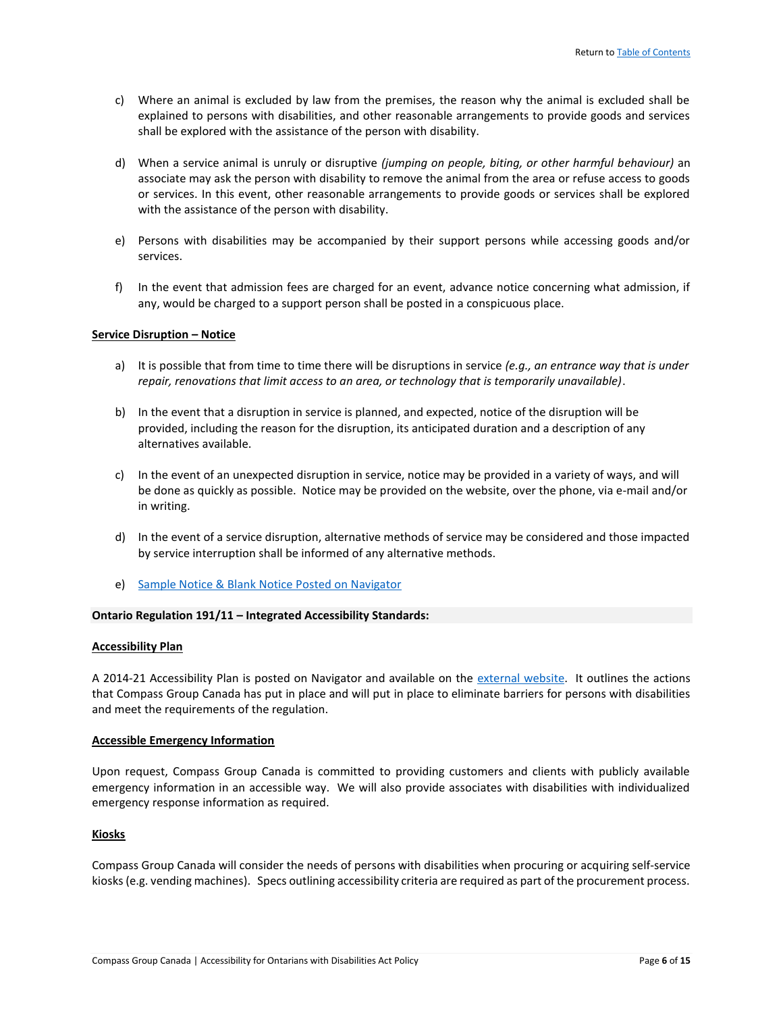- c) Where an animal is excluded by law from the premises, the reason why the animal is excluded shall be explained to persons with disabilities, and other reasonable arrangements to provide goods and services shall be explored with the assistance of the person with disability.
- d) When a service animal is unruly or disruptive *(jumping on people, biting, or other harmful behaviour)* an associate may ask the person with disability to remove the animal from the area or refuse access to goods or services. In this event, other reasonable arrangements to provide goods or services shall be explored with the assistance of the person with disability.
- e) Persons with disabilities may be accompanied by their support persons while accessing goods and/or services.
- f) In the event that admission fees are charged for an event, advance notice concerning what admission, if any, would be charged to a support person shall be posted in a conspicuous place.

# **Service Disruption – Notice**

- a) It is possible that from time to time there will be disruptions in service *(e.g., an entrance way that is under repair, renovations that limit access to an area, or technology that is temporarily unavailable)*.
- b) In the event that a disruption in service is planned, and expected, notice of the disruption will be provided, including the reason for the disruption, its anticipated duration and a description of any alternatives available.
- c) In the event of an unexpected disruption in service, notice may be provided in a variety of ways, and will be done as quickly as possible. Notice may be provided on the website, over the phone, via e-mail and/or in writing.
- d) In the event of a service disruption, alternative methods of service may be considered and those impacted by service interruption shall be informed of any alternative methods.
- e) [Sample Notice & Blank Notice Posted on Navigator](https://causchz4803vm.canada.compassgroup.corp/corporatesupport/HR/Policies%20%20Procedures/Forms/AllItems.aspx)

# **Ontario Regulation 191/11 – Integrated Accessibility Standards:**

# **Accessibility Plan**

A 2014-21 Accessibility Plan is posted on Navigator and available on the [external website.](http://www.compass-canada.com/Pages/Content.aspx?ItemID=70) It outlines the actions that Compass Group Canada has put in place and will put in place to eliminate barriers for persons with disabilities and meet the requirements of the regulation.

# **Accessible Emergency Information**

Upon request, Compass Group Canada is committed to providing customers and clients with publicly available emergency information in an accessible way. We will also provide associates with disabilities with individualized emergency response information as required.

# **Kiosks**

Compass Group Canada will consider the needs of persons with disabilities when procuring or acquiring self-service kiosks (e.g. vending machines). Specs outlining accessibility criteria are required as part of the procurement process.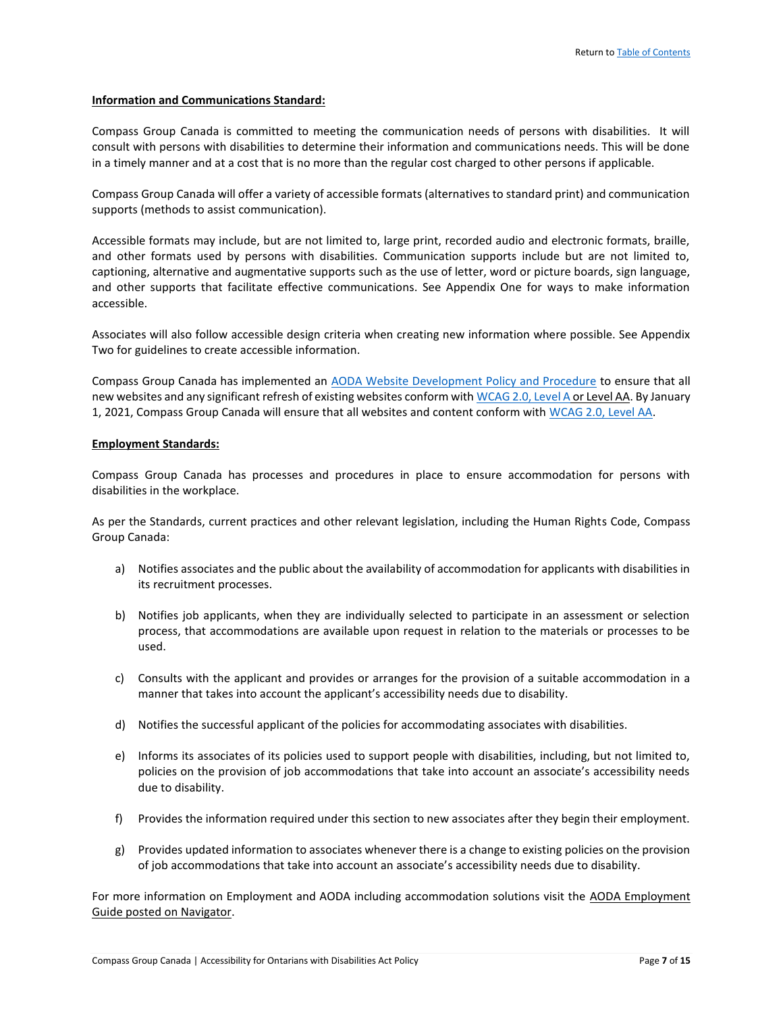#### **Information and Communications Standard:**

Compass Group Canada is committed to meeting the communication needs of persons with disabilities. It will consult with persons with disabilities to determine their information and communications needs. This will be done in a timely manner and at a cost that is no more than the regular cost charged to other persons if applicable.

Compass Group Canada will offer a variety of accessible formats (alternatives to standard print) and communication supports (methods to assist communication).

Accessible formats may include, but are not limited to, large print, recorded audio and electronic formats, braille, and other formats used by persons with disabilities. Communication supports include but are not limited to, captioning, alternative and augmentative supports such as the use of letter, word or picture boards, sign language, and other supports that facilitate effective communications. See Appendix One for ways to make information accessible.

Associates will also follow accessible design criteria when creating new information where possible. See Appendix Two for guidelines to create accessible information.

Compass Group Canada has implemented an [AODA Website Development Policy and Procedure](https://causchz4803vm.canada.compassgroup.corp/corporatesupport/HR/Policies%20%20Procedures/Forms/AllItems.aspx) to ensure that all new websites and any significant refresh of existing websites conform wit[h WCAG 2.0, Level A](http://www.w3.org/TR/WCAG20/) or Level AA. By January 1, 2021, Compass Group Canada will ensure that all websites and content conform wit[h WCAG 2.0, Level AA.](http://www.w3.org/TR/WCAG20/) 

#### **Employment Standards:**

Compass Group Canada has processes and procedures in place to ensure accommodation for persons with disabilities in the workplace.

As per the Standards, current practices and other relevant legislation, including the Human Rights Code, Compass Group Canada:

- a) Notifies associates and the public about the availability of accommodation for applicants with disabilities in its recruitment processes.
- b) Notifies job applicants, when they are individually selected to participate in an assessment or selection process, that accommodations are available upon request in relation to the materials or processes to be used.
- c) Consults with the applicant and provides or arranges for the provision of a suitable accommodation in a manner that takes into account the applicant's accessibility needs due to disability.
- d) Notifies the successful applicant of the policies for accommodating associates with disabilities.
- e) Informs its associates of its policies used to support people with disabilities, including, but not limited to, policies on the provision of job accommodations that take into account an associate's accessibility needs due to disability.
- f) Provides the information required under this section to new associates after they begin their employment.
- g) Provides updated information to associates whenever there is a change to existing policies on the provision of job accommodations that take into account an associate's accessibility needs due to disability.

For more information on Employment and AODA including accommodation solutions visit the AODA Employment Guide posted on Navigator.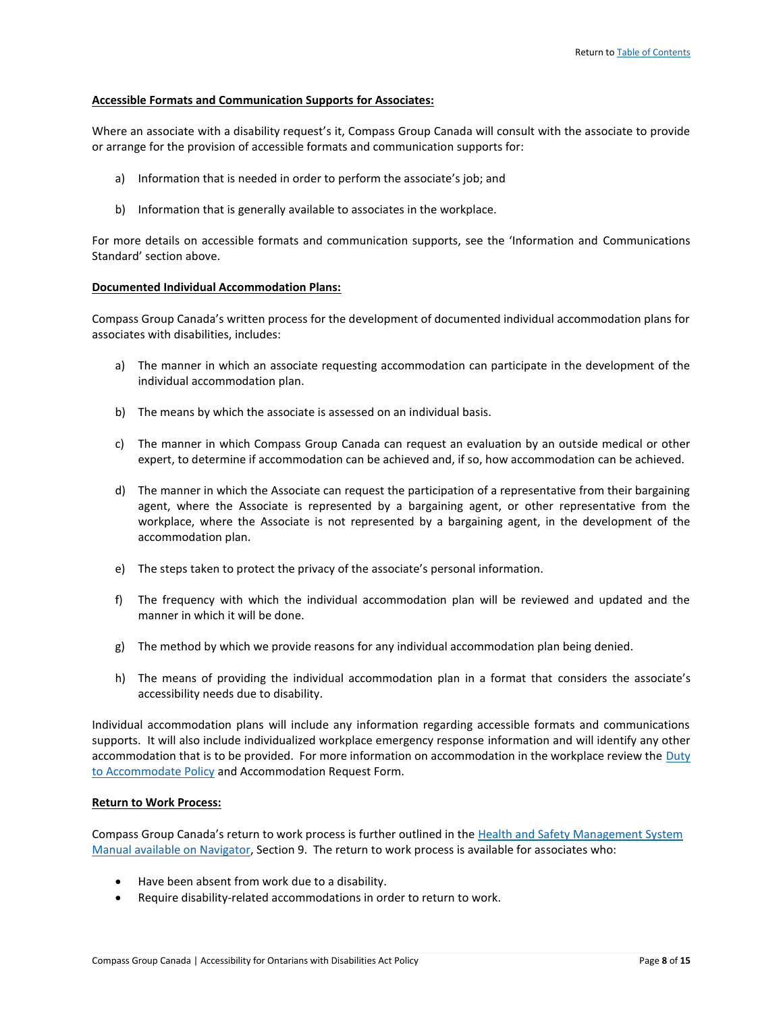# **Accessible Formats and Communication Supports for Associates:**

Where an associate with a disability request's it, Compass Group Canada will consult with the associate to provide or arrange for the provision of accessible formats and communication supports for:

- a) Information that is needed in order to perform the associate's job; and
- b) Information that is generally available to associates in the workplace.

For more details on accessible formats and communication supports, see the 'Information and Communications Standard' section above.

#### **Documented Individual Accommodation Plans:**

Compass Group Canada's written process for the development of documented individual accommodation plans for associates with disabilities, includes:

- a) The manner in which an associate requesting accommodation can participate in the development of the individual accommodation plan.
- b) The means by which the associate is assessed on an individual basis.
- c) The manner in which Compass Group Canada can request an evaluation by an outside medical or other expert, to determine if accommodation can be achieved and, if so, how accommodation can be achieved.
- d) The manner in which the Associate can request the participation of a representative from their bargaining agent, where the Associate is represented by a bargaining agent, or other representative from the workplace, where the Associate is not represented by a bargaining agent, in the development of the accommodation plan.
- e) The steps taken to protect the privacy of the associate's personal information.
- f) The frequency with which the individual accommodation plan will be reviewed and updated and the manner in which it will be done.
- g) The method by which we provide reasons for any individual accommodation plan being denied.
- h) The means of providing the individual accommodation plan in a format that considers the associate's accessibility needs due to disability.

Individual accommodation plans will include any information regarding accessible formats and communications supports. It will also include individualized workplace emergency response information and will identify any other accommodation that is to be provided. For more information on accommodation in the workplace review th[e Duty](https://navigator.compass-canada.com/corporatesupport/HR/Policies%20and%20Programs/Forms/AllItems.aspx?RootFolder=%2Fcorporatesupport%2FHR%2FPolicies%20and%20Programs%2FDuty%20to%20Accommodate%2FEnglish&FolderCTID=0x012000A6038AB26D051E45B9CB0CFBAC1BF791&View=%7B8742ED28%2DB0E5%2D4150%2DB01D%2D34A9131184C1%7D)  [to Accommodate Policy](https://navigator.compass-canada.com/corporatesupport/HR/Policies%20and%20Programs/Forms/AllItems.aspx?RootFolder=%2Fcorporatesupport%2FHR%2FPolicies%20and%20Programs%2FDuty%20to%20Accommodate%2FEnglish&FolderCTID=0x012000A6038AB26D051E45B9CB0CFBAC1BF791&View=%7B8742ED28%2DB0E5%2D4150%2DB01D%2D34A9131184C1%7D) and Accommodation Request Form.

#### **Return to Work Process:**

Compass Group Canada's return to work process is further outlined in the [Health and Safety Management System](https://causchz4803vm.canada.compassgroup.corp/corporatesupport/healthsafety/HS%20Management%20System/Health%20and%20Safety%20Management%20System/2%20-%20Health%20and%20Safety%20Management%20System%20Manual/CGC%20Safety%20Management%20System%20Binder%20Feb%202010.doc)  [Manual available on Navigator,](https://causchz4803vm.canada.compassgroup.corp/corporatesupport/healthsafety/HS%20Management%20System/Health%20and%20Safety%20Management%20System/2%20-%20Health%20and%20Safety%20Management%20System%20Manual/CGC%20Safety%20Management%20System%20Binder%20Feb%202010.doc) Section 9. The return to work process is available for associates who:

- Have been absent from work due to a disability.
- Require disability-related accommodations in order to return to work.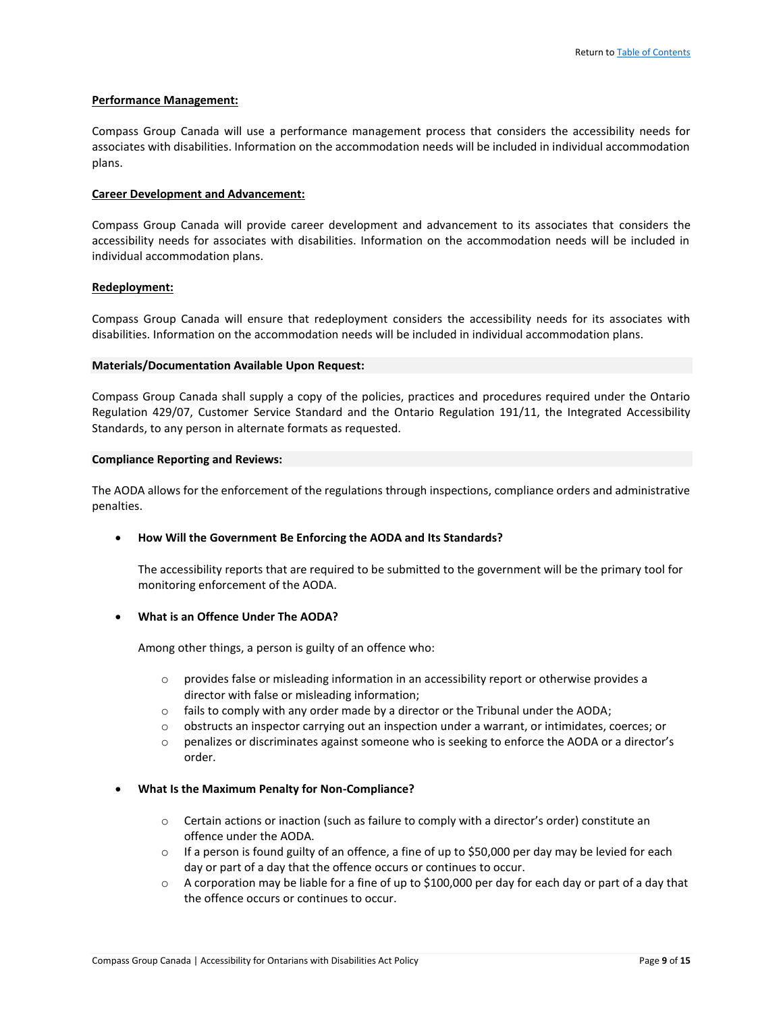#### **Performance Management:**

Compass Group Canada will use a performance management process that considers the accessibility needs for associates with disabilities. Information on the accommodation needs will be included in individual accommodation plans.

#### **Career Development and Advancement:**

Compass Group Canada will provide career development and advancement to its associates that considers the accessibility needs for associates with disabilities. Information on the accommodation needs will be included in individual accommodation plans.

#### **Redeployment:**

Compass Group Canada will ensure that redeployment considers the accessibility needs for its associates with disabilities. Information on the accommodation needs will be included in individual accommodation plans.

#### **Materials/Documentation Available Upon Request:**

Compass Group Canada shall supply a copy of the policies, practices and procedures required under the Ontario Regulation 429/07, Customer Service Standard and the Ontario Regulation 191/11, the Integrated Accessibility Standards, to any person in alternate formats as requested.

#### **Compliance Reporting and Reviews:**

The AODA allows for the enforcement of the regulations through inspections, compliance orders and administrative penalties.

# • **How Will the Government Be Enforcing the AODA and Its Standards?**

The accessibility reports that are required to be submitted to the government will be the primary tool for monitoring enforcement of the AODA.

# • **What is an Offence Under The AODA?**

Among other things, a person is guilty of an offence who:

- $\circ$  provides false or misleading information in an accessibility report or otherwise provides a director with false or misleading information;
- $\circ$  fails to comply with any order made by a director or the Tribunal under the AODA;
- $\circ$  obstructs an inspector carrying out an inspection under a warrant, or intimidates, coerces; or
- o penalizes or discriminates against someone who is seeking to enforce the AODA or a director's order.

# • **What Is the Maximum Penalty for Non-Compliance?**

- o Certain actions or inaction (such as failure to comply with a director's order) constitute an offence under the AODA.
- $\circ$  If a person is found guilty of an offence, a fine of up to \$50,000 per day may be levied for each day or part of a day that the offence occurs or continues to occur.
- o A corporation may be liable for a fine of up to \$100,000 per day for each day or part of a day that the offence occurs or continues to occur.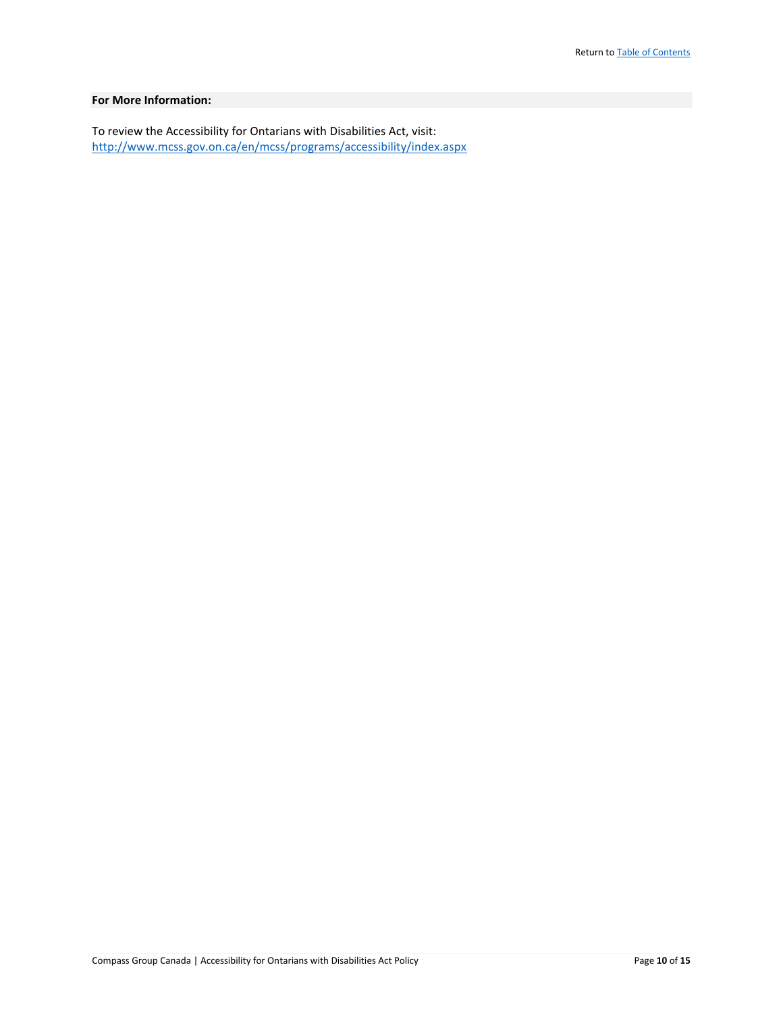# **For More Information:**

To review the Accessibility for Ontarians with Disabilities Act, visit: <http://www.mcss.gov.on.ca/en/mcss/programs/accessibility/index.aspx>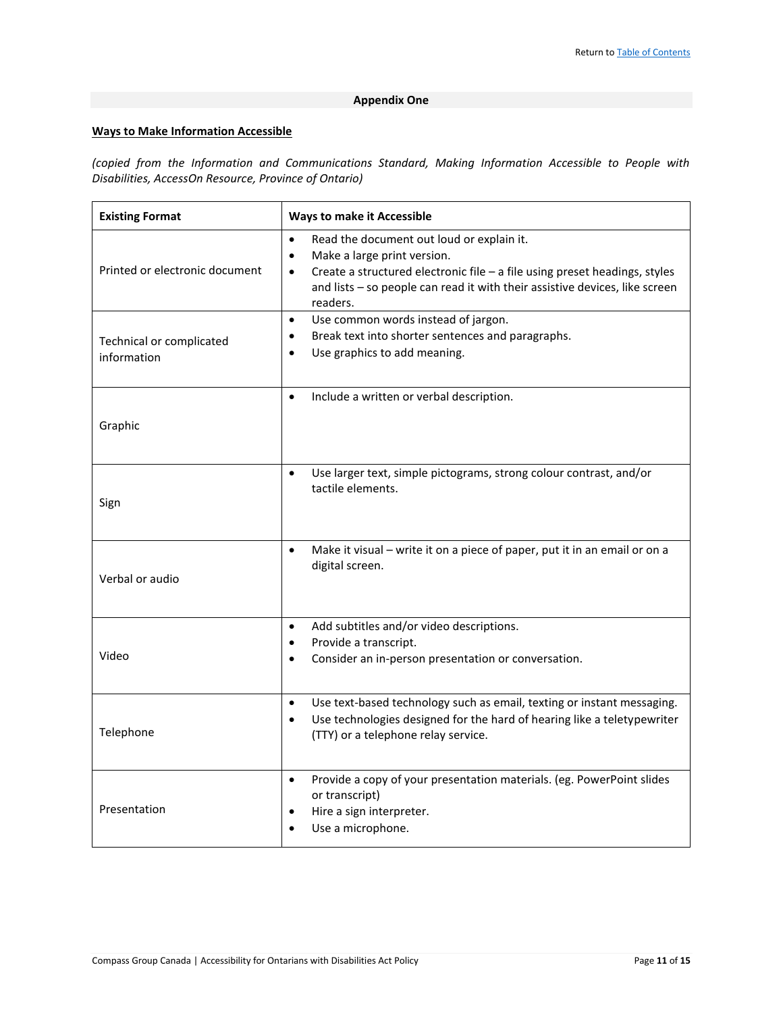# **Appendix One**

# **Ways to Make Information Accessible**

*(copied from the Information and Communications Standard, Making Information Accessible to People with Disabilities, AccessOn Resource, Province of Ontario)*

| <b>Existing Format</b>                  | <b>Ways to make it Accessible</b>                                                                                                                                                                                                                                                                                                            |
|-----------------------------------------|----------------------------------------------------------------------------------------------------------------------------------------------------------------------------------------------------------------------------------------------------------------------------------------------------------------------------------------------|
| Printed or electronic document          | Read the document out loud or explain it.<br>$\bullet$<br>Make a large print version.<br>$\bullet$<br>Create a structured electronic file - a file using preset headings, styles<br>$\bullet$<br>and lists - so people can read it with their assistive devices, like screen<br>readers.<br>Use common words instead of jargon.<br>$\bullet$ |
| Technical or complicated<br>information | Break text into shorter sentences and paragraphs.<br>$\bullet$<br>Use graphics to add meaning.<br>$\bullet$                                                                                                                                                                                                                                  |
| Graphic                                 | Include a written or verbal description.<br>$\bullet$                                                                                                                                                                                                                                                                                        |
| Sign                                    | Use larger text, simple pictograms, strong colour contrast, and/or<br>$\bullet$<br>tactile elements.                                                                                                                                                                                                                                         |
| Verbal or audio                         | Make it visual - write it on a piece of paper, put it in an email or on a<br>$\bullet$<br>digital screen.                                                                                                                                                                                                                                    |
| Video                                   | Add subtitles and/or video descriptions.<br>$\bullet$<br>Provide a transcript.<br>$\bullet$<br>Consider an in-person presentation or conversation.<br>$\bullet$                                                                                                                                                                              |
| Telephone                               | Use text-based technology such as email, texting or instant messaging.<br>$\bullet$<br>Use technologies designed for the hard of hearing like a teletypewriter<br>$\bullet$<br>(TTY) or a telephone relay service.                                                                                                                           |
| Presentation                            | Provide a copy of your presentation materials. (eg. PowerPoint slides<br>$\bullet$<br>or transcript)<br>Hire a sign interpreter.<br>$\bullet$<br>Use a microphone.<br>$\bullet$                                                                                                                                                              |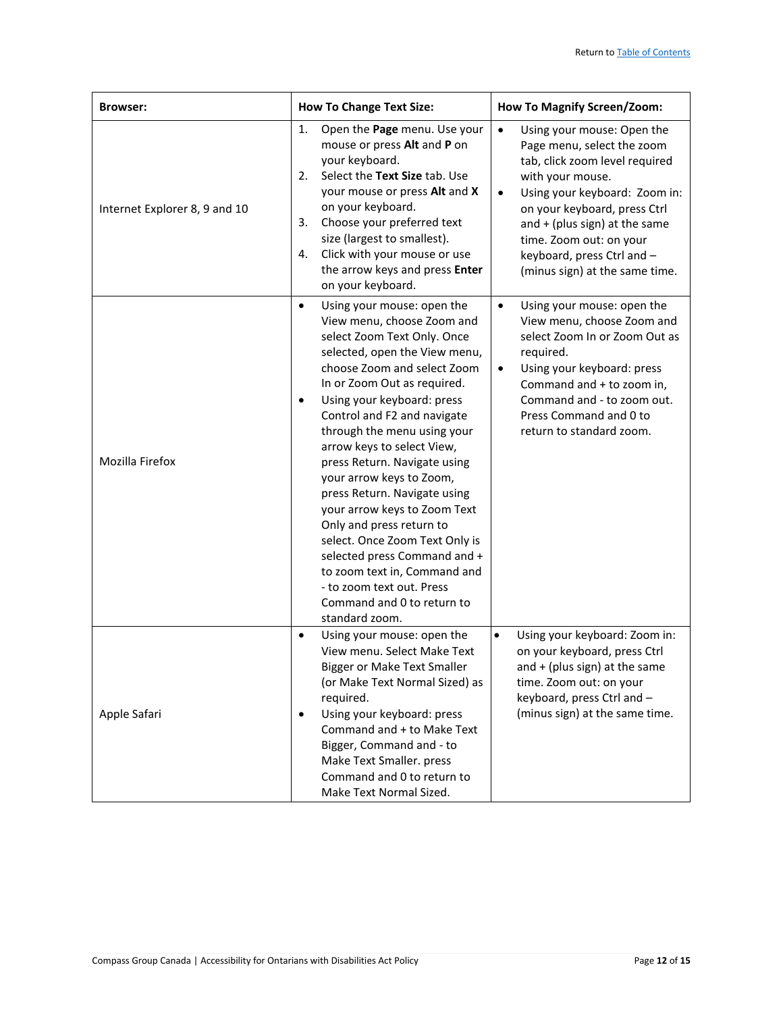| <b>Browser:</b>               | <b>How To Change Text Size:</b>                                                                                                                                                                                                                                                                                                                                                                                                                                                                                                                                                                                                                                           | <b>How To Magnify Screen/Zoom:</b>                                                                                                                                                                                                                                                                                                      |
|-------------------------------|---------------------------------------------------------------------------------------------------------------------------------------------------------------------------------------------------------------------------------------------------------------------------------------------------------------------------------------------------------------------------------------------------------------------------------------------------------------------------------------------------------------------------------------------------------------------------------------------------------------------------------------------------------------------------|-----------------------------------------------------------------------------------------------------------------------------------------------------------------------------------------------------------------------------------------------------------------------------------------------------------------------------------------|
| Internet Explorer 8, 9 and 10 | Open the Page menu. Use your<br>1.<br>mouse or press Alt and P on<br>your keyboard.<br>Select the Text Size tab. Use<br>2.<br>your mouse or press Alt and X<br>on your keyboard.<br>Choose your preferred text<br>3.<br>size (largest to smallest).<br>Click with your mouse or use<br>4.<br>the arrow keys and press Enter<br>on your keyboard.                                                                                                                                                                                                                                                                                                                          | $\bullet$<br>Using your mouse: Open the<br>Page menu, select the zoom<br>tab, click zoom level required<br>with your mouse.<br>Using your keyboard: Zoom in:<br>$\bullet$<br>on your keyboard, press Ctrl<br>and $+$ (plus sign) at the same<br>time. Zoom out: on your<br>keyboard, press Ctrl and -<br>(minus sign) at the same time. |
| Mozilla Firefox               | Using your mouse: open the<br>$\bullet$<br>View menu, choose Zoom and<br>select Zoom Text Only. Once<br>selected, open the View menu,<br>choose Zoom and select Zoom<br>In or Zoom Out as required.<br>Using your keyboard: press<br>٠<br>Control and F2 and navigate<br>through the menu using your<br>arrow keys to select View,<br>press Return. Navigate using<br>your arrow keys to Zoom,<br>press Return. Navigate using<br>your arrow keys to Zoom Text<br>Only and press return to<br>select. Once Zoom Text Only is<br>selected press Command and +<br>to zoom text in, Command and<br>- to zoom text out. Press<br>Command and 0 to return to<br>standard zoom. | $\bullet$<br>Using your mouse: open the<br>View menu, choose Zoom and<br>select Zoom In or Zoom Out as<br>required.<br>Using your keyboard: press<br>$\bullet$<br>Command and + to zoom in,<br>Command and - to zoom out.<br>Press Command and 0 to<br>return to standard zoom.                                                         |
| Apple Safari                  | Using your mouse: open the<br>$\bullet$<br>View menu. Select Make Text<br><b>Bigger or Make Text Smaller</b><br>(or Make Text Normal Sized) as<br>required.<br>Using your keyboard: press<br>٠<br>Command and + to Make Text<br>Bigger, Command and - to<br>Make Text Smaller. press<br>Command and 0 to return to<br>Make Text Normal Sized.                                                                                                                                                                                                                                                                                                                             | Using your keyboard: Zoom in:<br>$\bullet$<br>on your keyboard, press Ctrl<br>and + (plus sign) at the same<br>time. Zoom out: on your<br>keyboard, press Ctrl and -<br>(minus sign) at the same time.                                                                                                                                  |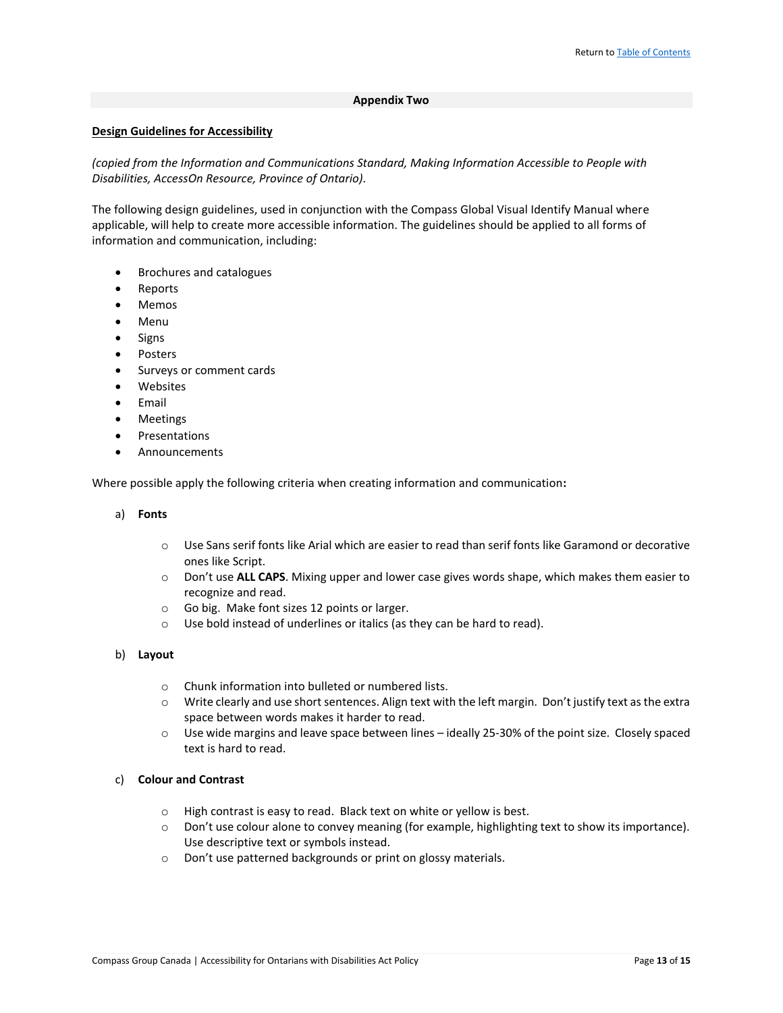#### **Appendix Two**

#### **Design Guidelines for Accessibility**

*(copied from the Information and Communications Standard, Making Information Accessible to People with Disabilities, AccessOn Resource, Province of Ontario).*

The following design guidelines, used in conjunction with the Compass Global Visual Identify Manual where applicable, will help to create more accessible information. The guidelines should be applied to all forms of information and communication, including:

- Brochures and catalogues
- Reports
- Memos
- Menu
- Signs
- Posters
- Surveys or comment cards
- Websites
- Email
- Meetings
- **Presentations**
- Announcements

Where possible apply the following criteria when creating information and communication**:**

- a) **Fonts**
	- $\circ$  Use Sans serif fonts like Arial which are easier to read than serif fonts like Garamond or decorative ones like Script.
	- o Don't use **ALL CAPS**. Mixing upper and lower case gives words shape, which makes them easier to recognize and read.
	- o Go big. Make font sizes 12 points or larger.
	- o Use bold instead of underlines or italics (as they can be hard to read).
- b) **Layout**
	- o Chunk information into bulleted or numbered lists.
	- o Write clearly and use short sentences. Align text with the left margin. Don't justify text as the extra space between words makes it harder to read.
	- o Use wide margins and leave space between lines ideally 25-30% of the point size. Closely spaced text is hard to read.
- c) **Colour and Contrast**
	- o High contrast is easy to read. Black text on white or yellow is best.
	- o Don't use colour alone to convey meaning (for example, highlighting text to show its importance). Use descriptive text or symbols instead.
	- o Don't use patterned backgrounds or print on glossy materials.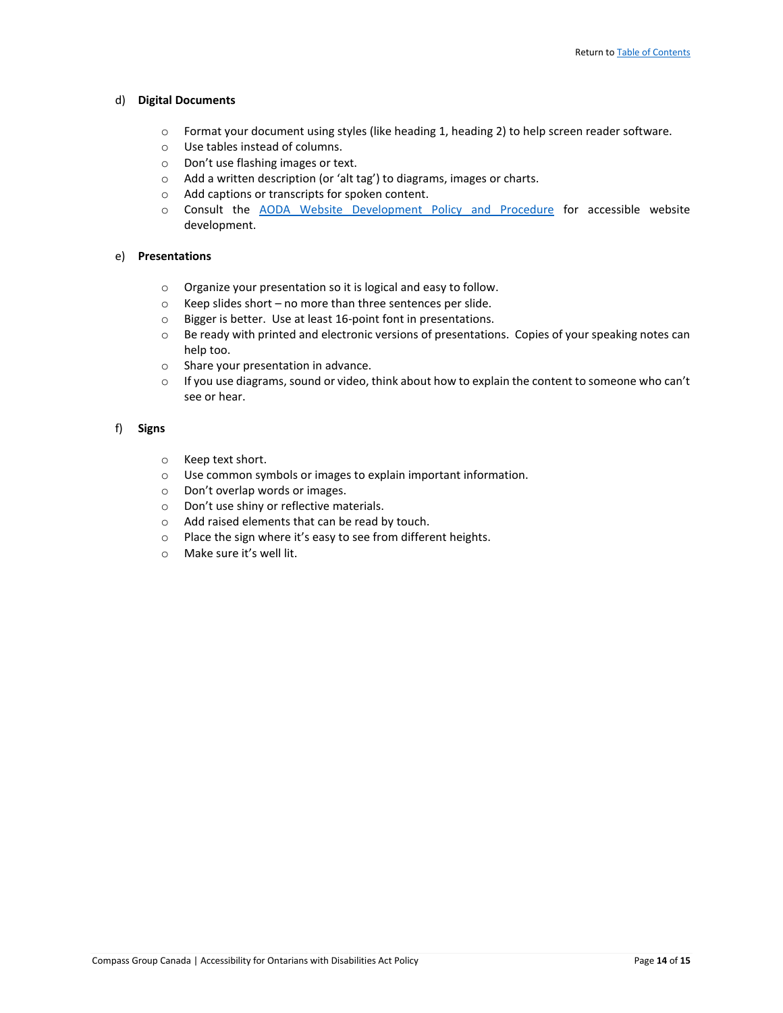#### d) **Digital Documents**

- o Format your document using styles (like heading 1, heading 2) to help screen reader software.
- o Use tables instead of columns.
- o Don't use flashing images or text.
- o Add a written description (or 'alt tag') to diagrams, images or charts.
- o Add captions or transcripts for spoken content.
- o Consult the [AODA Website Development Policy and Procedure](https://causchz4803vm.canada.compassgroup.corp/corporatesupport/HR/Policies%20%20Procedures/Forms/AllItems.aspx) for accessible website development.

#### e) **Presentations**

- o Organize your presentation so it is logical and easy to follow.
- o Keep slides short no more than three sentences per slide.
- o Bigger is better. Use at least 16-point font in presentations.
- $\circ$  Be ready with printed and electronic versions of presentations. Copies of your speaking notes can help too.
- o Share your presentation in advance.
- $\circ$  If you use diagrams, sound or video, think about how to explain the content to someone who can't see or hear.

# f) **Signs**

- o Keep text short.
- o Use common symbols or images to explain important information.
- o Don't overlap words or images.
- o Don't use shiny or reflective materials.
- o Add raised elements that can be read by touch.
- o Place the sign where it's easy to see from different heights.
- o Make sure it's well lit.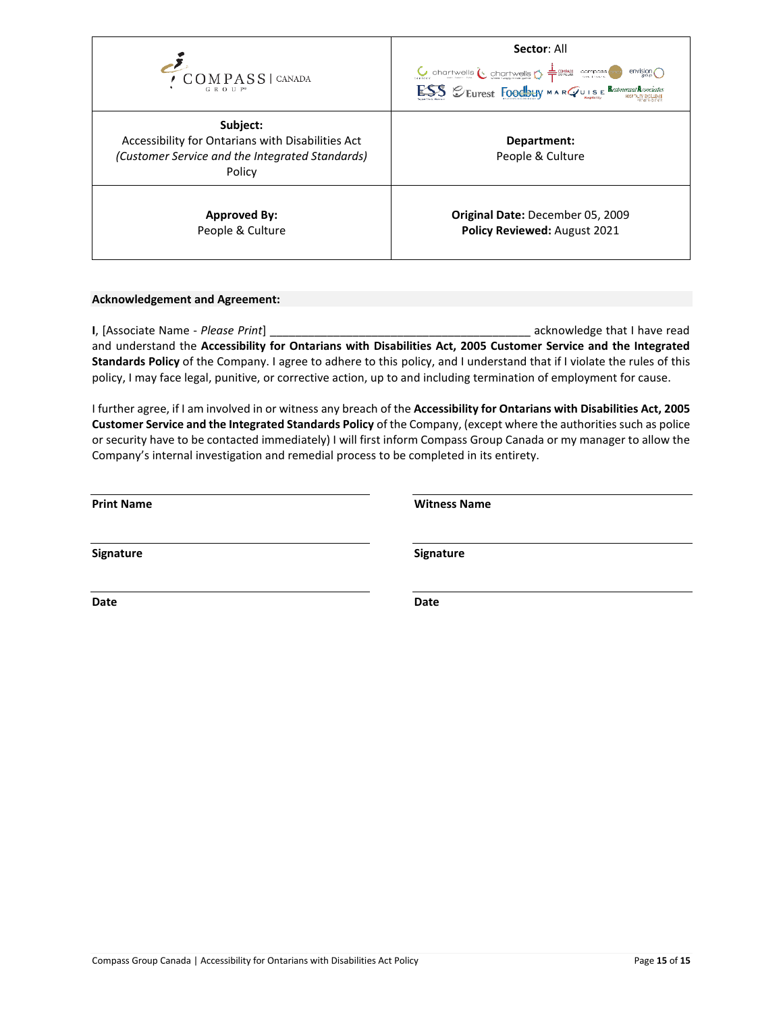

# **Acknowledgement and Agreement:**

**I**, [Associate Name - *Please Print*] \_\_\_\_\_\_\_\_\_\_\_\_\_\_\_\_\_\_\_\_\_\_\_\_\_\_\_\_\_\_\_\_\_\_\_\_\_\_\_\_\_ acknowledge that I have read and understand the **Accessibility for Ontarians with Disabilities Act, 2005 Customer Service and the Integrated Standards Policy** of the Company. I agree to adhere to this policy, and I understand that if I violate the rules of this policy, I may face legal, punitive, or corrective action, up to and including termination of employment for cause.

I further agree, if I am involved in or witness any breach of the **Accessibility for Ontarians with Disabilities Act, 2005 Customer Service and the Integrated Standards Policy** of the Company, (except where the authorities such as police or security have to be contacted immediately) I will first inform Compass Group Canada or my manager to allow the Company's internal investigation and remedial process to be completed in its entirety.

| <b>Print Name</b> | <b>Witness Name</b> |
|-------------------|---------------------|
| Signature         | Signature           |
| Date              | Date                |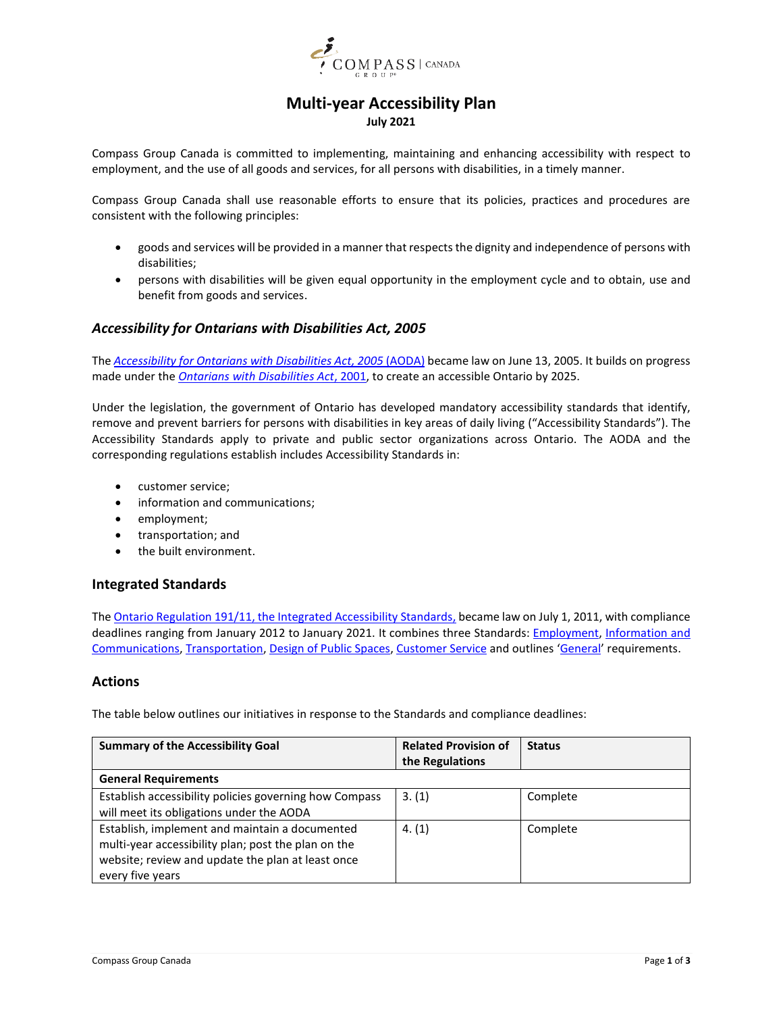

# **Multi-year Accessibility Plan July 2021**

<span id="page-15-22"></span><span id="page-15-21"></span><span id="page-15-0"></span>Compass Group Canada is committed to implementing, maintaining and enhancing accessibility with respect to employment, and the use of all goods and services, for all persons with disabilities, in a timely manner.

<span id="page-15-8"></span><span id="page-15-1"></span>Compass Group Canada shall use reasonable efforts to ensure that its policies, practices and procedures are consistent with the following principles:

- goods and services will be provided in a manner that respects the dignity and independence of persons with disabilities;
- <span id="page-15-2"></span>• persons with disabilities will be given equal opportunity in the employment cycle and to obtain, use and benefit from goods and services.

# <span id="page-15-14"></span>*Accessibility for Ontarians with Disabilities Act, 2005*

<span id="page-15-19"></span>The *[Accessibility for Ontarians with Disabilities Act, 2005](https://www.ontario.ca/laws/statute/05a11)* (AODA) became law on June 13, 2005. It builds on progress made under the *[Ontarians with Disabilities Act](https://www.ontario.ca/laws/statute/01o32)*, 2001, to create an accessible Ontario by 2025.

<span id="page-15-9"></span><span id="page-15-3"></span>Under the legislation, the government of Ontario has developed mandatory accessibility standards that identify, remove and prevent barriers for persons with disabilities in key areas of daily living ("Accessibility Standards"). The Accessibility Standards apply to private and public sector organizations across Ontario. The AODA and the corresponding regulations establish includes Accessibility Standards in:

- <span id="page-15-20"></span><span id="page-15-4"></span>• customer service;
- information and communications;
- employment;
- <span id="page-15-5"></span>• transportation; and
- the built environment.

# <span id="page-15-10"></span>**Integrated Standards**

<span id="page-15-15"></span><span id="page-15-11"></span><span id="page-15-7"></span>Th[e Ontario Regulation 191/11, the](https://www.ontario.ca/laws/regulation/110191#BK1) Integrated Accessibility Standards, became law on July 1, 2011, with compliance deadlines ranging from January 2012 to January 2021. It combines three Standards: **Employment**, Information and [Communications,](https://www.ontario.ca/laws/regulation/110191#BK9) [Transportation,](https://www.ontario.ca/laws/regulation/110191#BK36) [Design of Public Spaces,](https://www.ontario.ca/laws/regulation/110191#BK93) [Customer Service](https://www.ontario.ca/laws/regulation/110191#BK149) and outlines '[General](https://www.ontario.ca/laws/regulation/110191#BK1)' requirements.

# **Actions**

<span id="page-15-12"></span>The table below outlines our initiatives in response to the Standards and compliance deadlines:

<span id="page-15-18"></span><span id="page-15-17"></span><span id="page-15-16"></span><span id="page-15-13"></span><span id="page-15-6"></span>

| <b>Summary of the Accessibility Goal</b>                                                                                                                                       | <b>Related Provision of</b><br>the Regulations | <b>Status</b> |
|--------------------------------------------------------------------------------------------------------------------------------------------------------------------------------|------------------------------------------------|---------------|
| <b>General Requirements</b>                                                                                                                                                    |                                                |               |
| Establish accessibility policies governing how Compass<br>will meet its obligations under the AODA                                                                             | 3. (1)                                         | Complete      |
| Establish, implement and maintain a documented<br>multi-year accessibility plan; post the plan on the<br>website; review and update the plan at least once<br>every five years | 4. (1)                                         | Complete      |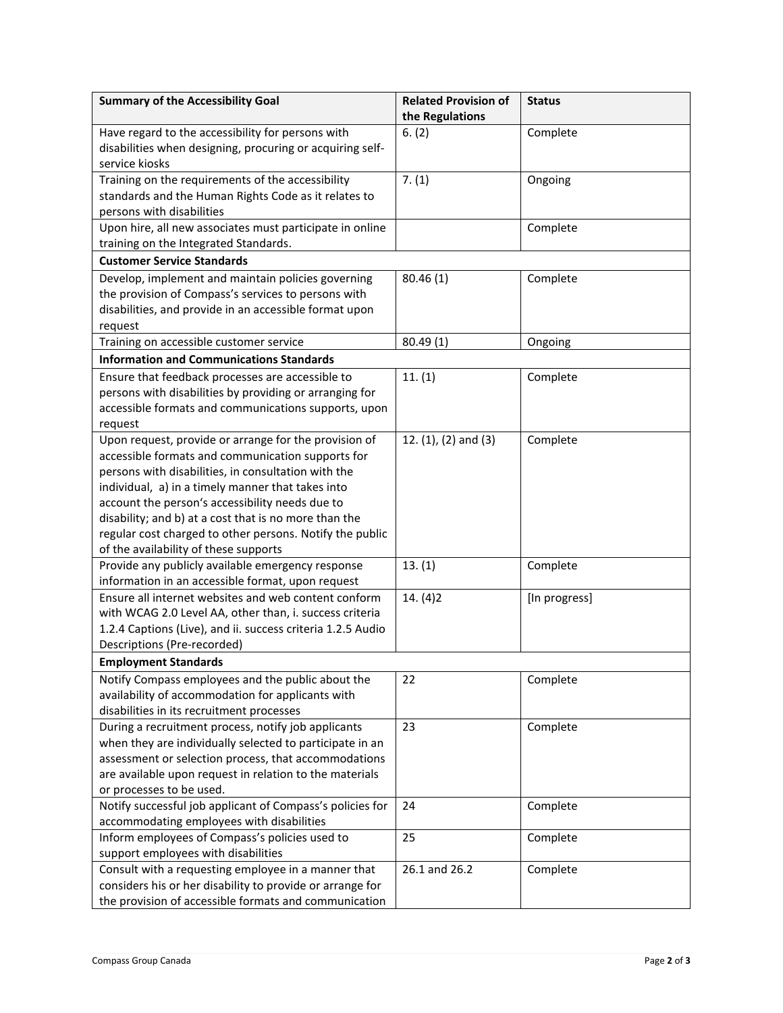| <b>Summary of the Accessibility Goal</b>                                                                                                                                                                                                                                                                                                                                                                                                | <b>Related Provision of</b><br>the Regulations | <b>Status</b> |
|-----------------------------------------------------------------------------------------------------------------------------------------------------------------------------------------------------------------------------------------------------------------------------------------------------------------------------------------------------------------------------------------------------------------------------------------|------------------------------------------------|---------------|
| Have regard to the accessibility for persons with<br>disabilities when designing, procuring or acquiring self-<br>service kiosks                                                                                                                                                                                                                                                                                                        | 6. (2)                                         | Complete      |
| Training on the requirements of the accessibility<br>standards and the Human Rights Code as it relates to<br>persons with disabilities                                                                                                                                                                                                                                                                                                  | 7. (1)                                         | Ongoing       |
| Upon hire, all new associates must participate in online<br>training on the Integrated Standards.                                                                                                                                                                                                                                                                                                                                       |                                                | Complete      |
| <b>Customer Service Standards</b>                                                                                                                                                                                                                                                                                                                                                                                                       |                                                |               |
| Develop, implement and maintain policies governing<br>the provision of Compass's services to persons with<br>disabilities, and provide in an accessible format upon<br>request                                                                                                                                                                                                                                                          | 80.46(1)                                       | Complete      |
| Training on accessible customer service                                                                                                                                                                                                                                                                                                                                                                                                 | 80.49(1)                                       | Ongoing       |
| <b>Information and Communications Standards</b>                                                                                                                                                                                                                                                                                                                                                                                         |                                                |               |
| Ensure that feedback processes are accessible to<br>persons with disabilities by providing or arranging for<br>accessible formats and communications supports, upon<br>request                                                                                                                                                                                                                                                          | 11. (1)                                        | Complete      |
| Upon request, provide or arrange for the provision of<br>accessible formats and communication supports for<br>persons with disabilities, in consultation with the<br>individual, a) in a timely manner that takes into<br>account the person's accessibility needs due to<br>disability; and b) at a cost that is no more than the<br>regular cost charged to other persons. Notify the public<br>of the availability of these supports | 12. $(1)$ , $(2)$ and $(3)$                    | Complete      |
| Provide any publicly available emergency response<br>information in an accessible format, upon request                                                                                                                                                                                                                                                                                                                                  | 13.(1)                                         | Complete      |
| Ensure all internet websites and web content conform<br>with WCAG 2.0 Level AA, other than, i. success criteria<br>1.2.4 Captions (Live), and ii. success criteria 1.2.5 Audio<br>Descriptions (Pre-recorded)                                                                                                                                                                                                                           | 14. (4)2                                       | [In progress] |
| <b>Employment Standards</b><br>Notify Compass employees and the public about the<br>availability of accommodation for applicants with<br>disabilities in its recruitment processes                                                                                                                                                                                                                                                      | 22                                             | Complete      |
| During a recruitment process, notify job applicants<br>when they are individually selected to participate in an<br>assessment or selection process, that accommodations<br>are available upon request in relation to the materials<br>or processes to be used.                                                                                                                                                                          | 23                                             | Complete      |
| Notify successful job applicant of Compass's policies for<br>accommodating employees with disabilities                                                                                                                                                                                                                                                                                                                                  | 24                                             | Complete      |
| Inform employees of Compass's policies used to<br>support employees with disabilities                                                                                                                                                                                                                                                                                                                                                   | 25                                             | Complete      |
| Consult with a requesting employee in a manner that<br>considers his or her disability to provide or arrange for<br>the provision of accessible formats and communication                                                                                                                                                                                                                                                               | 26.1 and 26.2                                  | Complete      |